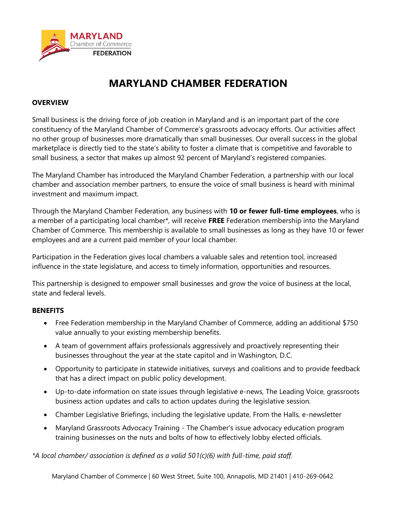

# **MARYLAND CHAMBER FEDERATION**

## **OVERVIEW**

Small business is the driving force of job creation in Maryland and is an important part of the core constituency of the Maryland Chamber of Commerce's grassroots advocacy efforts. Our activities affect no other group of businesses more dramatically than small businesses. Our overall success in the global marketplace is directly tied to the state's ability to foster a climate that is competitive and favorable to small business, a sector that makes up almost 92 percent of Maryland's registered companies.

The Maryland Chamber has introduced the Maryland Chamber Federation, a partnership with our local chamber and association member partners, to ensure the voice of small business is heard with minimal investment and maximum impact.

Through the Maryland Chamber Federation, any business with **10 or fewer full-time employees**, who is a member of a participating local chamber\*, will receive **FREE** Federation membership into the Maryland Chamber of Commerce. This membership is available to small businesses as long as they have 10 or fewer employees and are a current paid member of your local chamber.

Participation in the Federation gives local chambers a valuable sales and retention tool, increased influence in the state legislature, and access to timely information, opportunities and resources.

This partnership is designed to empower small businesses and grow the voice of business at the local, state and federal levels.

## **BENEFITS**

- Free Federation membership in the Maryland Chamber of Commerce, adding an additional \$750 value annually to your existing membership benefits.
- A team of government affairs professionals aggressively and proactively representing their businesses throughout the year at the state capitol and in Washington, D.C.
- Opportunity to participate in statewide initiatives, surveys and coalitions and to provide feedback that has a direct impact on public policy development.
- Up-to-date information on state issues through legislative e-news, The Leading Voice, grassroots business action updates and calls to action updates during the legislative session.
- Chamber Legislative Briefings, including the legislative update, From the Halls, e-newsletter
- Maryland Grassroots Advocacy Training The Chamber's issue advocacy education program training businesses on the nuts and bolts of how to effectively lobby elected officials.

*\*A local chamber/ association is defined as a valid 501(c)(6) with full-time, paid staff.*

Maryland Chamber of Commerce | 60 West Street, Suite 100, Annapolis, MD 21401 | 410-269-0642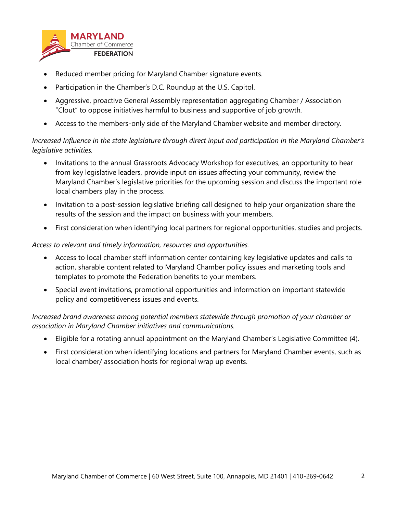

- Reduced member pricing for Maryland Chamber signature events.
- Participation in the Chamber's D.C. Roundup at the U.S. Capitol.
- Aggressive, proactive General Assembly representation aggregating Chamber / Association "Clout" to oppose initiatives harmful to business and supportive of job growth.
- Access to the members-only side of the Maryland Chamber website and member directory.

*Increased Influence in the state legislature through direct input and participation in the Maryland Chamber's legislative activities.*

- Invitations to the annual Grassroots Advocacy Workshop for executives, an opportunity to hear from key legislative leaders, provide input on issues affecting your community, review the Maryland Chamber's legislative priorities for the upcoming session and discuss the important role local chambers play in the process.
- Invitation to a post-session legislative briefing call designed to help your organization share the results of the session and the impact on business with your members.
- First consideration when identifying local partners for regional opportunities, studies and projects.

*Access to relevant and timely information, resources and opportunities.*

- Access to local chamber staff information center containing key legislative updates and calls to action, sharable content related to Maryland Chamber policy issues and marketing tools and templates to promote the Federation benefits to your members.
- Special event invitations, promotional opportunities and information on important statewide policy and competitiveness issues and events.

*Increased brand awareness among potential members statewide through promotion of your chamber or association in Maryland Chamber initiatives and communications.*

- Eligible for a rotating annual appointment on the Maryland Chamber's Legislative Committee (4).
- First consideration when identifying locations and partners for Maryland Chamber events, such as local chamber/ association hosts for regional wrap up events.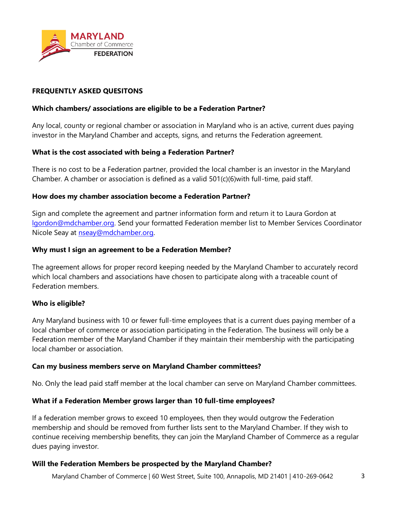

## **FREQUENTLY ASKED QUESITONS**

## **Which chambers/ associations are eligible to be a Federation Partner?**

Any local, county or regional chamber or association in Maryland who is an active, current dues paying investor in the Maryland Chamber and accepts, signs, and returns the Federation agreement.

## **What is the cost associated with being a Federation Partner?**

There is no cost to be a Federation partner, provided the local chamber is an investor in the Maryland Chamber. A chamber or association is defined as a valid  $501(c)(6)$  with full-time, paid staff.

#### **How does my chamber association become a Federation Partner?**

Sign and complete the agreement and partner information form and return it to Laura Gordon at [lgordon@mdchamber.org.](mailto:lgordon@mdchamber.org) Send your formatted Federation member list to Member Services Coordinator Nicole Seay at [nseay@mdchamber.org.](mailto:nseay@mdchamber.org)

#### **Why must I sign an agreement to be a Federation Member?**

The agreement allows for proper record keeping needed by the Maryland Chamber to accurately record which local chambers and associations have chosen to participate along with a traceable count of Federation members.

## **Who is eligible?**

Any Maryland business with 10 or fewer full-time employees that is a current dues paying member of a local chamber of commerce or association participating in the Federation. The business will only be a Federation member of the Maryland Chamber if they maintain their membership with the participating local chamber or association.

#### **Can my business members serve on Maryland Chamber committees?**

No. Only the lead paid staff member at the local chamber can serve on Maryland Chamber committees.

## **What if a Federation Member grows larger than 10 full-time employees?**

If a federation member grows to exceed 10 employees, then they would outgrow the Federation membership and should be removed from further lists sent to the Maryland Chamber. If they wish to continue receiving membership benefits, they can join the Maryland Chamber of Commerce as a regular dues paying investor.

#### **Will the Federation Members be prospected by the Maryland Chamber?**

Maryland Chamber of Commerce | 60 West Street, Suite 100, Annapolis, MD 21401 | 410-269-0642 3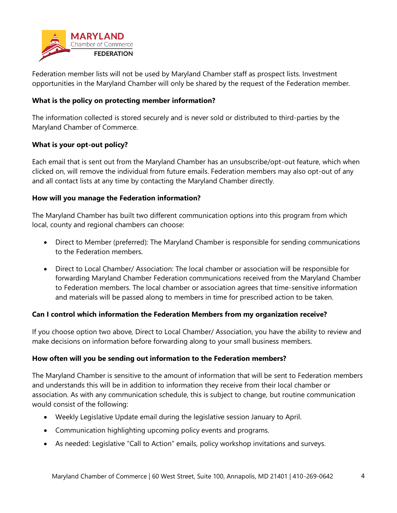

Federation member lists will not be used by Maryland Chamber staff as prospect lists. Investment opportunities in the Maryland Chamber will only be shared by the request of the Federation member.

# **What is the policy on protecting member information?**

The information collected is stored securely and is never sold or distributed to third-parties by the Maryland Chamber of Commerce.

# **What is your opt-out policy?**

Each email that is sent out from the Maryland Chamber has an unsubscribe/opt-out feature, which when clicked on, will remove the individual from future emails. Federation members may also opt-out of any and all contact lists at any time by contacting the Maryland Chamber directly.

# **How will you manage the Federation information?**

The Maryland Chamber has built two different communication options into this program from which local, county and regional chambers can choose:

- Direct to Member (preferred): The Maryland Chamber is responsible for sending communications to the Federation members.
- Direct to Local Chamber/ Association: The local chamber or association will be responsible for forwarding Maryland Chamber Federation communications received from the Maryland Chamber to Federation members. The local chamber or association agrees that time-sensitive information and materials will be passed along to members in time for prescribed action to be taken.

# **Can I control which information the Federation Members from my organization receive?**

If you choose option two above, Direct to Local Chamber/ Association, you have the ability to review and make decisions on information before forwarding along to your small business members.

# **How often will you be sending out information to the Federation members?**

The Maryland Chamber is sensitive to the amount of information that will be sent to Federation members and understands this will be in addition to information they receive from their local chamber or association. As with any communication schedule, this is subject to change, but routine communication would consist of the following:

- Weekly Legislative Update email during the legislative session January to April.
- Communication highlighting upcoming policy events and programs.
- As needed: Legislative "Call to Action" emails, policy workshop invitations and surveys.